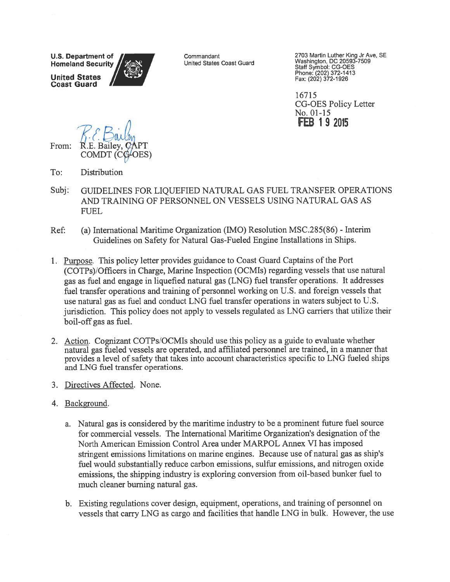**U.S. Department of Homeland Security United States** 

**Coast Guard** 

Commandant United States Coast Guard 2703 Martin Luther King Jr Ave, SE<br>Washington, DC 20593-7509 Staff Symbol: CG-OES<br>Phone: (202) 372-1413 Fax: (202) 372-1926

16715 **CG-OES Policy Letter** No. 01-15 **FEB 19 2015** 

From:

- $To:$ Distribution
- Subj: GUIDELINES FOR LIQUEFIED NATURAL GAS FUEL TRANSFER OPERATIONS AND TRAINING OF PERSONNEL ON VESSELS USING NATURAL GAS AS **FUEL**
- (a) International Maritime Organization (IMO) Resolution MSC.285(86) Interim Ref: Guidelines on Safety for Natural Gas-Fueled Engine Installations in Ships.
- 1. Purpose. This policy letter provides guidance to Coast Guard Captains of the Port (COTPs)/Officers in Charge, Marine Inspection (OCMIs) regarding vessels that use natural gas as fuel and engage in liquefied natural gas (LNG) fuel transfer operations. It addresses fuel transfer operations and training of personnel working on U.S. and foreign vessels that use natural gas as fuel and conduct LNG fuel transfer operations in waters subject to U.S. jurisdiction. This policy does not apply to vessels regulated as LNG carriers that utilize their boil-off gas as fuel.
- 2. Action. Cognizant COTPs/OCMIs should use this policy as a guide to evaluate whether natural gas fueled vessels are operated, and affiliated personnel are trained, in a manner that provides a level of safety that takes into account characteristics specific to LNG fueled ships and LNG fuel transfer operations.
- 3. Directives Affected. None.
- 4. Background.
	- a. Natural gas is considered by the maritime industry to be a prominent future fuel source for commercial vessels. The International Maritime Organization's designation of the North American Emission Control Area under MARPOL Annex VI has imposed stringent emissions limitations on marine engines. Because use of natural gas as ship's fuel would substantially reduce carbon emissions, sulfur emissions, and nitrogen oxide emissions, the shipping industry is exploring conversion from oil-based bunker fuel to much cleaner burning natural gas.
	- b. Existing regulations cover design, equipment, operations, and training of personnel on vessels that carry LNG as cargo and facilities that handle LNG in bulk. However, the use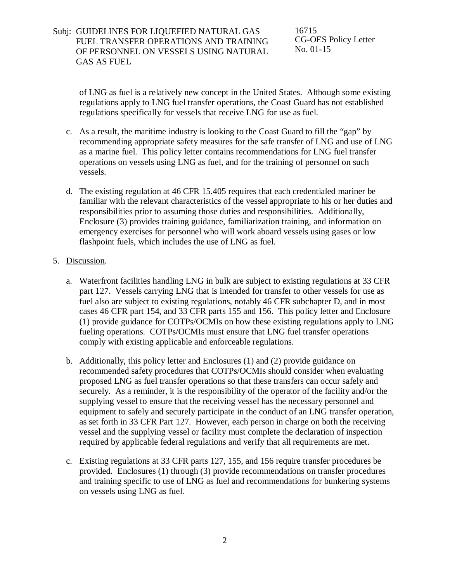### Subj: GUIDELINES FOR LIQUEFIED NATURAL GAS FUEL TRANSFER OPERATIONS AND TRAINING OF PERSONNEL ON VESSELS USING NATURAL GAS AS FUEL

16715 CG-OES Policy Letter No. 01-15

of LNG as fuel is a relatively new concept in the United States. Although some existing regulations apply to LNG fuel transfer operations, the Coast Guard has not established regulations specifically for vessels that receive LNG for use as fuel.

- c. As a result, the maritime industry is looking to the Coast Guard to fill the "gap" by recommending appropriate safety measures for the safe transfer of LNG and use of LNG as a marine fuel. This policy letter contains recommendations for LNG fuel transfer operations on vessels using LNG as fuel, and for the training of personnel on such vessels.
- d. The existing regulation at 46 CFR 15.405 requires that each credentialed mariner be familiar with the relevant characteristics of the vessel appropriate to his or her duties and responsibilities prior to assuming those duties and responsibilities. Additionally, Enclosure (3) provides training guidance, familiarization training, and information on emergency exercises for personnel who will work aboard vessels using gases or low flashpoint fuels, which includes the use of LNG as fuel.

#### 5. Discussion.

- a. Waterfront facilities handling LNG in bulk are subject to existing regulations at 33 CFR part 127. Vessels carrying LNG that is intended for transfer to other vessels for use as fuel also are subject to existing regulations, notably 46 CFR subchapter D, and in most cases 46 CFR part 154, and 33 CFR parts 155 and 156. This policy letter and Enclosure (1) provide guidance for COTPs/OCMIs on how these existing regulations apply to LNG fueling operations. COTPs/OCMIs must ensure that LNG fuel transfer operations comply with existing applicable and enforceable regulations.
- b. Additionally, this policy letter and Enclosures (1) and (2) provide guidance on recommended safety procedures that COTPs/OCMIs should consider when evaluating proposed LNG as fuel transfer operations so that these transfers can occur safely and securely. As a reminder, it is the responsibility of the operator of the facility and/or the supplying vessel to ensure that the receiving vessel has the necessary personnel and equipment to safely and securely participate in the conduct of an LNG transfer operation, as set forth in 33 CFR Part 127. However, each person in charge on both the receiving vessel and the supplying vessel or facility must complete the declaration of inspection required by applicable federal regulations and verify that all requirements are met.
- c. Existing regulations at 33 CFR parts 127, 155, and 156 require transfer procedures be provided. Enclosures (1) through (3) provide recommendations on transfer procedures and training specific to use of LNG as fuel and recommendations for bunkering systems on vessels using LNG as fuel.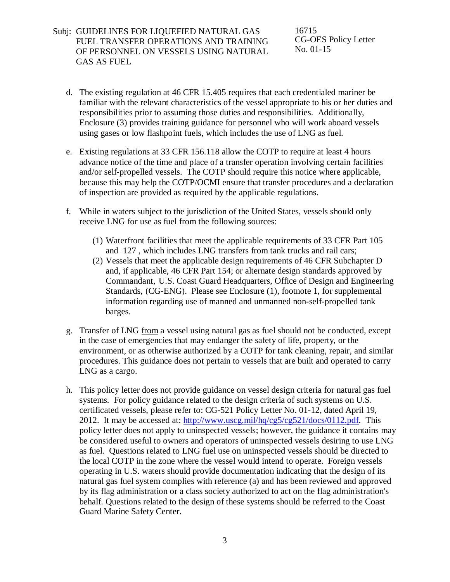### Subj: GUIDELINES FOR LIQUEFIED NATURAL GAS FUEL TRANSFER OPERATIONS AND TRAINING OF PERSONNEL ON VESSELS USING NATURAL GAS AS FUEL

16715 CG-OES Policy Letter No. 01-15

- d. The existing regulation at 46 CFR 15.405 requires that each credentialed mariner be familiar with the relevant characteristics of the vessel appropriate to his or her duties and responsibilities prior to assuming those duties and responsibilities. Additionally, Enclosure (3) provides training guidance for personnel who will work aboard vessels using gases or low flashpoint fuels, which includes the use of LNG as fuel.
- e. Existing regulations at 33 CFR 156.118 allow the COTP to require at least 4 hours advance notice of the time and place of a transfer operation involving certain facilities and/or self-propelled vessels. The COTP should require this notice where applicable, because this may help the COTP/OCMI ensure that transfer procedures and a declaration of inspection are provided as required by the applicable regulations.
- f. While in waters subject to the jurisdiction of the United States, vessels should only receive LNG for use as fuel from the following sources:
	- (1) Waterfront facilities that meet the applicable requirements of 33 CFR Part 105 and 127 , which includes LNG transfers from tank trucks and rail cars;
	- (2) Vessels that meet the applicable design requirements of 46 CFR Subchapter D and, if applicable, 46 CFR Part 154; or alternate design standards approved by Commandant, U.S. Coast Guard Headquarters, Office of Design and Engineering Standards, (CG-ENG). Please see Enclosure (1), footnote 1, for supplemental information regarding use of manned and unmanned non-self-propelled tank barges.
- g. Transfer of LNG from a vessel using natural gas as fuel should not be conducted, except in the case of emergencies that may endanger the safety of life, property, or the environment, or as otherwise authorized by a COTP for tank cleaning, repair, and similar procedures. This guidance does not pertain to vessels that are built and operated to carry LNG as a cargo.
- h. This policy letter does not provide guidance on vessel design criteria for natural gas fuel systems. For policy guidance related to the design criteria of such systems on U.S. certificated vessels, please refer to: CG-521 Policy Letter No. 01-12, dated April 19, 2012. It may be accessed at: [http://www.uscg.mil/hq/cg5/cg521/docs/0112.pdf.](http://www.uscg.mil/hq/cg5/cg521/docs/0112.pdf) This policy letter does not apply to uninspected vessels; however, the guidance it contains may be considered useful to owners and operators of uninspected vessels desiring to use LNG as fuel. Questions related to LNG fuel use on uninspected vessels should be directed to the local COTP in the zone where the vessel would intend to operate. Foreign vessels operating in U.S. waters should provide documentation indicating that the design of its natural gas fuel system complies with reference (a) and has been reviewed and approved by its flag administration or a class society authorized to act on the flag administration's behalf. Questions related to the design of these systems should be referred to the Coast Guard Marine Safety Center.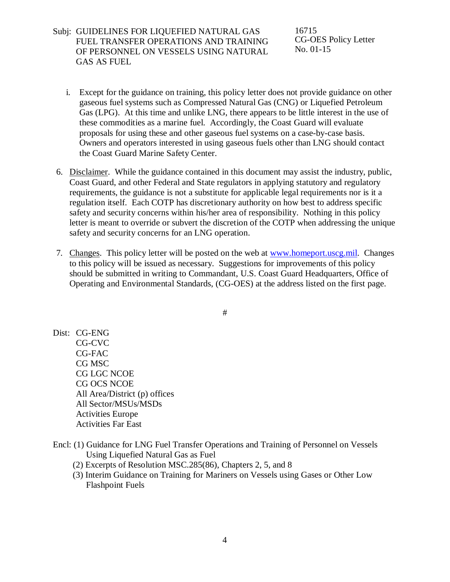Subj: GUIDELINES FOR LIQUEFIED NATURAL GAS FUEL TRANSFER OPERATIONS AND TRAINING OF PERSONNEL ON VESSELS USING NATURAL GAS AS FUEL

16715 CG-OES Policy Letter No. 01-15

- i. Except for the guidance on training, this policy letter does not provide guidance on other gaseous fuel systems such as Compressed Natural Gas (CNG) or Liquefied Petroleum Gas (LPG). At this time and unlike LNG, there appears to be little interest in the use of these commodities as a marine fuel. Accordingly, the Coast Guard will evaluate proposals for using these and other gaseous fuel systems on a case-by-case basis. Owners and operators interested in using gaseous fuels other than LNG should contact the Coast Guard Marine Safety Center.
- 6. Disclaimer. While the guidance contained in this document may assist the industry, public, Coast Guard, and other Federal and State regulators in applying statutory and regulatory requirements, the guidance is not a substitute for applicable legal requirements nor is it a regulation itself. Each COTP has discretionary authority on how best to address specific safety and security concerns within his/her area of responsibility. Nothing in this policy letter is meant to override or subvert the discretion of the COTP when addressing the unique safety and security concerns for an LNG operation.
- 7. Changes. This policy letter will be posted on the web at [www.homeport.uscg.mil.](http://www.homeport.uscg.mil/) Changes to this policy will be issued as necessary. Suggestions for improvements of this policy should be submitted in writing to Commandant, U.S. Coast Guard Headquarters, Office of Operating and Environmental Standards, (CG-OES) at the address listed on the first page.

#

- Dist: CG-ENG CG-CVC CG-FAC CG MSC CG LGC NCOE CG OCS NCOE All Area/District (p) offices All Sector/MSUs/MSDs Activities Europe Activities Far East
- Encl: (1) Guidance for LNG Fuel Transfer Operations and Training of Personnel on Vessels Using Liquefied Natural Gas as Fuel
	- (2) Excerpts of Resolution MSC.285(86), Chapters 2, 5, and 8
	- (3) Interim Guidance on Training for Mariners on Vessels using Gases or Other Low Flashpoint Fuels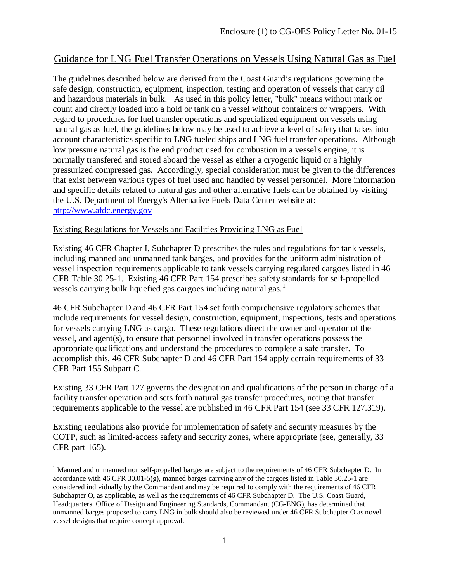# Guidance for LNG Fuel Transfer Operations on Vessels Using Natural Gas as Fuel

The guidelines described below are derived from the Coast Guard's regulations governing the safe design, construction, equipment, inspection, testing and operation of vessels that carry oil and hazardous materials in bulk. As used in this policy letter, "bulk" means without mark or count and directly loaded into a hold or tank on a vessel without containers or wrappers. With regard to procedures for fuel transfer operations and specialized equipment on vessels using natural gas as fuel, the guidelines below may be used to achieve a level of safety that takes into account characteristics specific to LNG fueled ships and LNG fuel transfer operations. Although low pressure natural gas is the end product used for combustion in a vessel's engine, it is normally transfered and stored aboard the vessel as either a cryogenic liquid or a highly pressurized compressed gas. Accordingly, special consideration must be given to the differences that exist between various types of fuel used and handled by vessel personnel. More information and specific details related to natural gas and other alternative fuels can be obtained by visiting the U.S. Department of Energy's Alternative Fuels Data Center website at: [http://www.afdc.energy.gov](http://www.afdc.energy.gov/)

### Existing Regulations for Vessels and Facilities Providing LNG as Fuel

Existing 46 CFR Chapter I, Subchapter D prescribes the rules and regulations for tank vessels, including manned and unmanned tank barges, and provides for the uniform administration of vessel inspection requirements applicable to tank vessels carrying regulated cargoes listed in 46 CFR Table 30.25-1. Existing 46 CFR Part 154 prescribes safety standards for self-propelled vessels carrying bulk liquefied gas cargoes including natural gas. [1](#page-4-0)

46 CFR Subchapter D and 46 CFR Part 154 set forth comprehensive regulatory schemes that include requirements for vessel design, construction, equipment, inspections, tests and operations for vessels carrying LNG as cargo. These regulations direct the owner and operator of the vessel, and agent(s), to ensure that personnel involved in transfer operations possess the appropriate qualifications and understand the procedures to complete a safe transfer. To accomplish this, 46 CFR Subchapter D and 46 CFR Part 154 apply certain requirements of 33 CFR Part 155 Subpart C.

Existing 33 CFR Part 127 governs the designation and qualifications of the person in charge of a facility transfer operation and sets forth natural gas transfer procedures, noting that transfer requirements applicable to the vessel are published in 46 CFR Part 154 (see 33 CFR 127.319).

Existing regulations also provide for implementation of safety and security measures by the COTP, such as limited-access safety and security zones, where appropriate (see, generally, 33 CFR part 165).

<span id="page-4-0"></span><sup>&</sup>lt;sup>1</sup> Manned and unmanned non self-propelled barges are subject to the requirements of 46 CFR Subchapter D. In accordance with 46 CFR 30.01-5(g), manned barges carrying any of the cargoes listed in Table  $30.25$ -1 are considered individually by the Commandant and may be required to comply with the requirements of 46 CFR Subchapter O, as applicable, as well as the requirements of 46 CFR Subchapter D. The U.S. Coast Guard, Headquarters Office of Design and Engineering Standards, Commandant (CG-ENG), has determined that unmanned barges proposed to carry LNG in bulk should also be reviewed under 46 CFR Subchapter O as novel vessel designs that require concept approval.  $\overline{a}$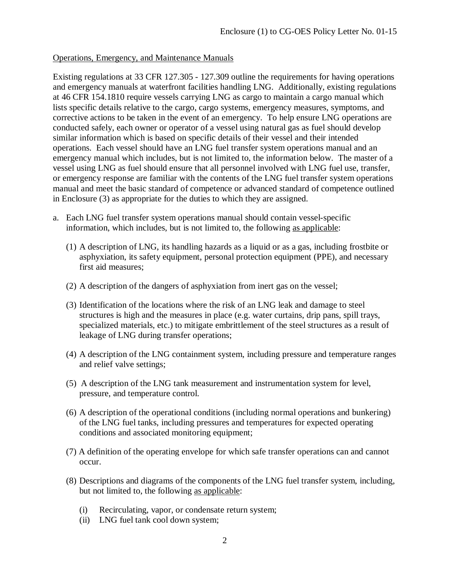### Operations, Emergency, and Maintenance Manuals

Existing regulations at 33 CFR 127.305 - 127.309 outline the requirements for having operations and emergency manuals at waterfront facilities handling LNG. Additionally, existing regulations at 46 CFR 154.1810 require vessels carrying LNG as cargo to maintain a cargo manual which lists specific details relative to the cargo, cargo systems, emergency measures, symptoms, and corrective actions to be taken in the event of an emergency. To help ensure LNG operations are conducted safely, each owner or operator of a vessel using natural gas as fuel should develop similar information which is based on specific details of their vessel and their intended operations. Each vessel should have an LNG fuel transfer system operations manual and an emergency manual which includes, but is not limited to, the information below. The master of a vessel using LNG as fuel should ensure that all personnel involved with LNG fuel use, transfer, or emergency response are familiar with the contents of the LNG fuel transfer system operations manual and meet the basic standard of competence or advanced standard of competence outlined in Enclosure (3) as appropriate for the duties to which they are assigned.

- a. Each LNG fuel transfer system operations manual should contain vessel-specific information, which includes, but is not limited to, the following as applicable:
	- (1) A description of LNG, its handling hazards as a liquid or as a gas, including frostbite or asphyxiation, its safety equipment, personal protection equipment (PPE), and necessary first aid measures;
	- (2) A description of the dangers of asphyxiation from inert gas on the vessel;
	- (3) Identification of the locations where the risk of an LNG leak and damage to steel structures is high and the measures in place (e.g. water curtains, drip pans, spill trays, specialized materials, etc.) to mitigate embrittlement of the steel structures as a result of leakage of LNG during transfer operations;
	- (4) A description of the LNG containment system, including pressure and temperature ranges and relief valve settings;
	- (5) A description of the LNG tank measurement and instrumentation system for level, pressure, and temperature control.
	- (6) A description of the operational conditions (including normal operations and bunkering) of the LNG fuel tanks, including pressures and temperatures for expected operating conditions and associated monitoring equipment;
	- (7) A definition of the operating envelope for which safe transfer operations can and cannot occur.
	- (8) Descriptions and diagrams of the components of the LNG fuel transfer system, including, but not limited to, the following as applicable:
		- (i) Recirculating, vapor, or condensate return system;
		- (ii) LNG fuel tank cool down system;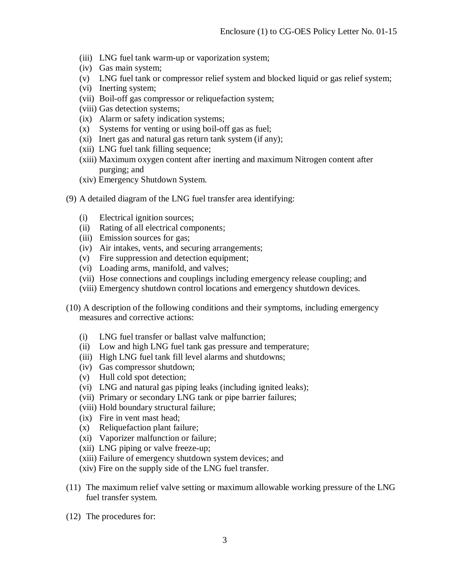- (iii) LNG fuel tank warm-up or vaporization system;
- (iv) Gas main system;
- (v) LNG fuel tank or compressor relief system and blocked liquid or gas relief system;
- (vi) Inerting system;
- (vii) Boil-off gas compressor or reliquefaction system;
- (viii) Gas detection systems;
- (ix) Alarm or safety indication systems;
- (x) Systems for venting or using boil-off gas as fuel;
- (xi) Inert gas and natural gas return tank system (if any);
- (xii) LNG fuel tank filling sequence;
- (xiii) Maximum oxygen content after inerting and maximum Nitrogen content after purging; and
- (xiv) Emergency Shutdown System.
- (9) A detailed diagram of the LNG fuel transfer area identifying:
	- (i) Electrical ignition sources;
	- (ii) Rating of all electrical components;
	- (iii) Emission sources for gas;
	- (iv) Air intakes, vents, and securing arrangements;
	- (v) Fire suppression and detection equipment;
	- (vi) Loading arms, manifold, and valves;
	- (vii) Hose connections and couplings including emergency release coupling; and
	- (viii) Emergency shutdown control locations and emergency shutdown devices.
- (10) A description of the following conditions and their symptoms, including emergency measures and corrective actions:
	- (i) LNG fuel transfer or ballast valve malfunction;
	- (ii) Low and high LNG fuel tank gas pressure and temperature;
	- (iii) High LNG fuel tank fill level alarms and shutdowns;
	- (iv) Gas compressor shutdown;
	- (v) Hull cold spot detection;
	- (vi) LNG and natural gas piping leaks (including ignited leaks);
	- (vii) Primary or secondary LNG tank or pipe barrier failures;
	- (viii) Hold boundary structural failure;
	- (ix) Fire in vent mast head;
	- (x) Reliquefaction plant failure;
	- (xi) Vaporizer malfunction or failure;
	- (xii) LNG piping or valve freeze-up;
	- (xiii) Failure of emergency shutdown system devices; and
	- (xiv) Fire on the supply side of the LNG fuel transfer.
- (11) The maximum relief valve setting or maximum allowable working pressure of the LNG fuel transfer system.
- (12) The procedures for: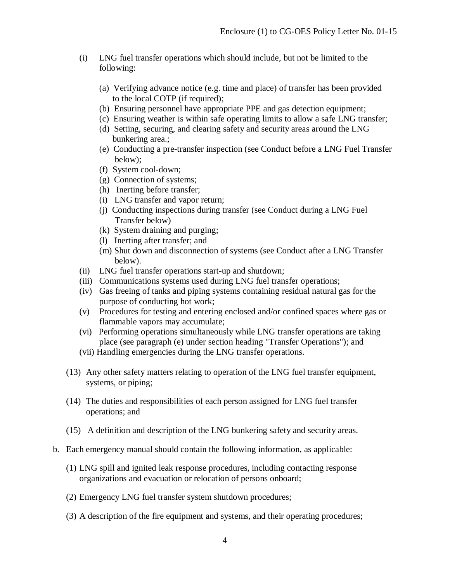- (i) LNG fuel transfer operations which should include, but not be limited to the following:
	- (a) Verifying advance notice (e.g. time and place) of transfer has been provided to the local COTP (if required);
	- (b) Ensuring personnel have appropriate PPE and gas detection equipment;
	- (c) Ensuring weather is within safe operating limits to allow a safe LNG transfer;
	- (d) Setting, securing, and clearing safety and security areas around the LNG bunkering area.;
	- (e) Conducting a pre-transfer inspection (see Conduct before a LNG Fuel Transfer below);
	- (f) System cool-down;
	- (g) Connection of systems;
	- (h) Inerting before transfer;
	- (i) LNG transfer and vapor return;
	- (j) Conducting inspections during transfer (see Conduct during a LNG Fuel Transfer below)
	- (k) System draining and purging;
	- (l) Inerting after transfer; and
	- (m) Shut down and disconnection of systems (see Conduct after a LNG Transfer below).
- (ii) LNG fuel transfer operations start-up and shutdown;
- (iii) Communications systems used during LNG fuel transfer operations;
- (iv) Gas freeing of tanks and piping systems containing residual natural gas for the purpose of conducting hot work;
- (v) Procedures for testing and entering enclosed and/or confined spaces where gas or flammable vapors may accumulate;
- (vi) Performing operations simultaneously while LNG transfer operations are taking place (see paragraph (e) under section heading "Transfer Operations"); and
- (vii) Handling emergencies during the LNG transfer operations.
- (13) Any other safety matters relating to operation of the LNG fuel transfer equipment, systems, or piping;
- (14) The duties and responsibilities of each person assigned for LNG fuel transfer operations; and
- (15) A definition and description of the LNG bunkering safety and security areas.
- b. Each emergency manual should contain the following information, as applicable:
	- (1) LNG spill and ignited leak response procedures, including contacting response organizations and evacuation or relocation of persons onboard;
	- (2) Emergency LNG fuel transfer system shutdown procedures;
	- (3) A description of the fire equipment and systems, and their operating procedures;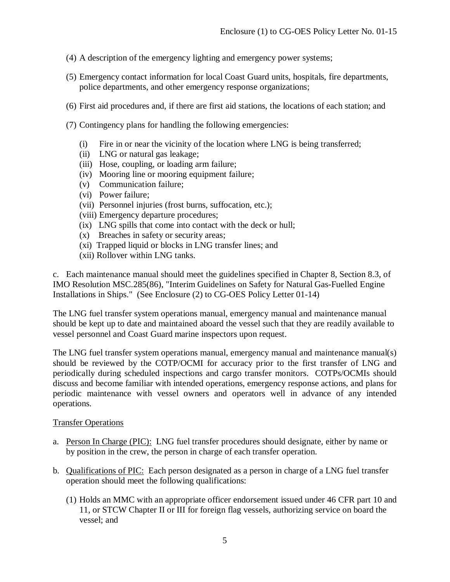- (4) A description of the emergency lighting and emergency power systems;
- (5) Emergency contact information for local Coast Guard units, hospitals, fire departments, police departments, and other emergency response organizations;
- (6) First aid procedures and, if there are first aid stations, the locations of each station; and
- (7) Contingency plans for handling the following emergencies:
	- (i) Fire in or near the vicinity of the location where LNG is being transferred;
	- (ii) LNG or natural gas leakage;
	- (iii) Hose, coupling, or loading arm failure;
	- (iv) Mooring line or mooring equipment failure;
	- (v) Communication failure;
	- (vi) Power failure;
	- (vii) Personnel injuries (frost burns, suffocation, etc.);
	- (viii) Emergency departure procedures;
	- (ix) LNG spills that come into contact with the deck or hull;
	- (x) Breaches in safety or security areas;
	- (xi) Trapped liquid or blocks in LNG transfer lines; and
	- (xii) Rollover within LNG tanks.

c. Each maintenance manual should meet the guidelines specified in Chapter 8, Section 8.3, of IMO Resolution MSC.285(86), "Interim Guidelines on Safety for Natural Gas-Fuelled Engine Installations in Ships." (See Enclosure (2) to CG-OES Policy Letter 01-14)

The LNG fuel transfer system operations manual, emergency manual and maintenance manual should be kept up to date and maintained aboard the vessel such that they are readily available to vessel personnel and Coast Guard marine inspectors upon request.

The LNG fuel transfer system operations manual, emergency manual and maintenance manual(s) should be reviewed by the COTP/OCMI for accuracy prior to the first transfer of LNG and periodically during scheduled inspections and cargo transfer monitors. COTPs/OCMIs should discuss and become familiar with intended operations, emergency response actions, and plans for periodic maintenance with vessel owners and operators well in advance of any intended operations.

#### Transfer Operations

- a. Person In Charge (PIC): LNG fuel transfer procedures should designate, either by name or by position in the crew, the person in charge of each transfer operation.
- b. Qualifications of PIC: Each person designated as a person in charge of a LNG fuel transfer operation should meet the following qualifications:
	- (1) Holds an MMC with an appropriate officer endorsement issued under 46 CFR part 10 and 11, or STCW Chapter II or III for foreign flag vessels, authorizing service on board the vessel; and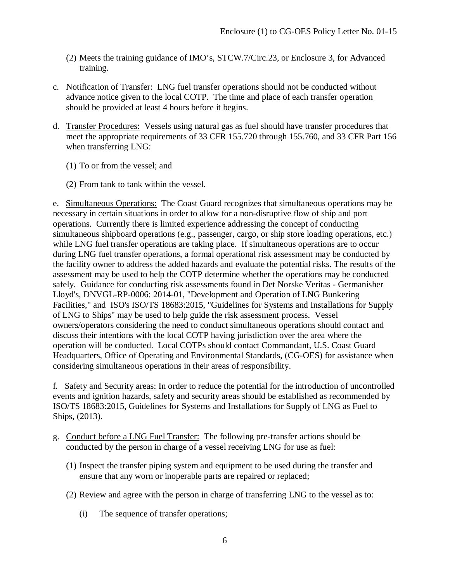- (2) Meets the training guidance of IMO's, STCW.7/Circ.23, or Enclosure 3, for Advanced training.
- c. Notification of Transfer: LNG fuel transfer operations should not be conducted without advance notice given to the local COTP. The time and place of each transfer operation should be provided at least 4 hours before it begins.
- d. Transfer Procedures: Vessels using natural gas as fuel should have transfer procedures that meet the appropriate requirements of 33 CFR 155.720 through 155.760, and 33 CFR Part 156 when transferring LNG:
	- (1) To or from the vessel; and
	- (2) From tank to tank within the vessel.

e. Simultaneous Operations: The Coast Guard recognizes that simultaneous operations may be necessary in certain situations in order to allow for a non-disruptive flow of ship and port operations. Currently there is limited experience addressing the concept of conducting simultaneous shipboard operations (e.g., passenger, cargo, or ship store loading operations, etc.) while LNG fuel transfer operations are taking place. If simultaneous operations are to occur during LNG fuel transfer operations, a formal operational risk assessment may be conducted by the facility owner to address the added hazards and evaluate the potential risks. The results of the assessment may be used to help the COTP determine whether the operations may be conducted safely. Guidance for conducting risk assessments found in Det Norske Veritas - Germanisher Lloyd's, DNVGL-RP-0006: 2014-01, "Development and Operation of LNG Bunkering Facilities," and ISO's ISO/TS 18683:2015, "Guidelines for Systems and Installations for Supply of LNG to Ships" may be used to help guide the risk assessment process. Vessel owners/operators considering the need to conduct simultaneous operations should contact and discuss their intentions with the local COTP having jurisdiction over the area where the operation will be conducted. Local COTPs should contact Commandant, U.S. Coast Guard Headquarters, Office of Operating and Environmental Standards, (CG-OES) for assistance when considering simultaneous operations in their areas of responsibility.

f. Safety and Security areas: In order to reduce the potential for the introduction of uncontrolled events and ignition hazards, safety and security areas should be established as recommended by ISO/TS 18683:2015, Guidelines for Systems and Installations for Supply of LNG as Fuel to Ships, (2013).

- g. Conduct before a LNG Fuel Transfer: The following pre-transfer actions should be conducted by the person in charge of a vessel receiving LNG for use as fuel:
	- (1) Inspect the transfer piping system and equipment to be used during the transfer and ensure that any worn or inoperable parts are repaired or replaced;
	- (2) Review and agree with the person in charge of transferring LNG to the vessel as to:
		- (i) The sequence of transfer operations;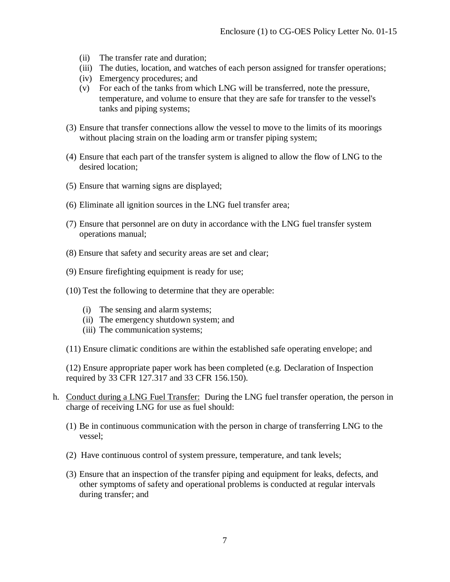- (ii) The transfer rate and duration;
- (iii) The duties, location, and watches of each person assigned for transfer operations;
- (iv) Emergency procedures; and
- (v) For each of the tanks from which LNG will be transferred, note the pressure, temperature, and volume to ensure that they are safe for transfer to the vessel's tanks and piping systems;
- (3) Ensure that transfer connections allow the vessel to move to the limits of its moorings without placing strain on the loading arm or transfer piping system;
- (4) Ensure that each part of the transfer system is aligned to allow the flow of LNG to the desired location;
- (5) Ensure that warning signs are displayed;
- (6) Eliminate all ignition sources in the LNG fuel transfer area;
- (7) Ensure that personnel are on duty in accordance with the LNG fuel transfer system operations manual;
- (8) Ensure that safety and security areas are set and clear;
- (9) Ensure firefighting equipment is ready for use;
- (10) Test the following to determine that they are operable:
	- (i) The sensing and alarm systems;
	- (ii) The emergency shutdown system; and
	- (iii) The communication systems;
- (11) Ensure climatic conditions are within the established safe operating envelope; and

(12) Ensure appropriate paper work has been completed (e.g. Declaration of Inspection required by 33 CFR 127.317 and 33 CFR 156.150).

- h. Conduct during a LNG Fuel Transfer: During the LNG fuel transfer operation, the person in charge of receiving LNG for use as fuel should:
	- (1) Be in continuous communication with the person in charge of transferring LNG to the vessel;
	- (2) Have continuous control of system pressure, temperature, and tank levels;
	- (3) Ensure that an inspection of the transfer piping and equipment for leaks, defects, and other symptoms of safety and operational problems is conducted at regular intervals during transfer; and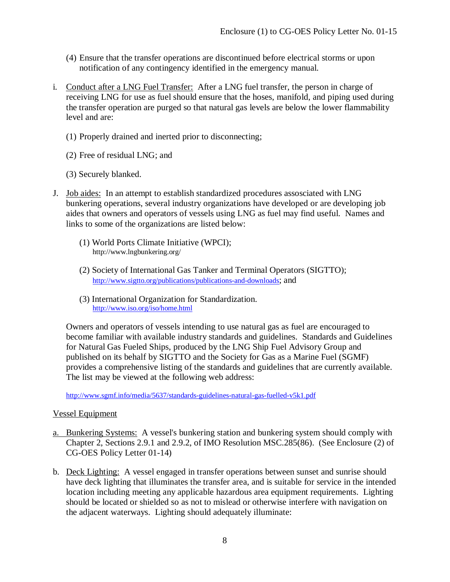- (4) Ensure that the transfer operations are discontinued before electrical storms or upon notification of any contingency identified in the emergency manual.
- i. Conduct after a LNG Fuel Transfer: After a LNG fuel transfer, the person in charge of receiving LNG for use as fuel should ensure that the hoses, manifold, and piping used during the transfer operation are purged so that natural gas levels are below the lower flammability level and are:
	- (1) Properly drained and inerted prior to disconnecting;
	- (2) Free of residual LNG; and
	- (3) Securely blanked.
- J. Job aides: In an attempt to establish standardized procedures assosciated with LNG bunkering operations, several industry organizations have developed or are developing job aides that owners and operators of vessels using LNG as fuel may find useful. Names and links to some of the organizations are listed below:
	- (1) World Ports Climate Initiative (WPCI); http://www.lngbunkering.org/
	- (2) Society of International Gas Tanker and Terminal Operators (SIGTTO); [http://www.sigtto.org/publications/publications-and-downloads;](http://www.sigtto.org/publications/publications-and-downloads) and
	- (3) International Organization for Standardization. <http://www.iso.org/iso/home.html>

Owners and operators of vessels intending to use natural gas as fuel are encouraged to become familiar with available industry standards and guidelines. Standards and Guidelines for Natural Gas Fueled Ships, produced by the LNG Ship Fuel Advisory Group and published on its behalf by SIGTTO and the Society for Gas as a Marine Fuel (SGMF) provides a comprehensive listing of the standards and guidelines that are currently available. The list may be viewed at the following web address:

<http://www.sgmf.info/media/5637/standards-guidelines-natural-gas-fuelled-v5k1.pdf>

### Vessel Equipment

- a. Bunkering Systems: A vessel's bunkering station and bunkering system should comply with Chapter 2, Sections 2.9.1 and 2.9.2, of IMO Resolution MSC.285(86). (See Enclosure (2) of CG-OES Policy Letter 01-14)
- b. Deck Lighting: A vessel engaged in transfer operations between sunset and sunrise should have deck lighting that illuminates the transfer area, and is suitable for service in the intended location including meeting any applicable hazardous area equipment requirements. Lighting should be located or shielded so as not to mislead or otherwise interfere with navigation on the adjacent waterways. Lighting should adequately illuminate: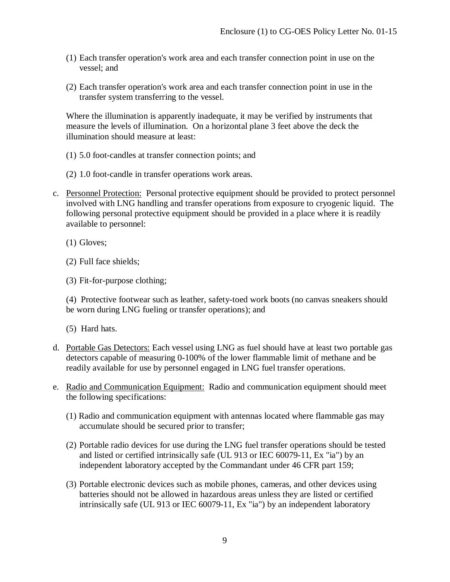- (1) Each transfer operation's work area and each transfer connection point in use on the vessel; and
- (2) Each transfer operation's work area and each transfer connection point in use in the transfer system transferring to the vessel.

Where the illumination is apparently inadequate, it may be verified by instruments that measure the levels of illumination. On a horizontal plane 3 feet above the deck the illumination should measure at least:

- (1) 5.0 foot-candles at transfer connection points; and
- (2) 1.0 foot-candle in transfer operations work areas.
- c. Personnel Protection: Personal protective equipment should be provided to protect personnel involved with LNG handling and transfer operations from exposure to cryogenic liquid. The following personal protective equipment should be provided in a place where it is readily available to personnel:

(1) Gloves;

(2) Full face shields;

(3) Fit-for-purpose clothing;

(4) Protective footwear such as leather, safety-toed work boots (no canvas sneakers should be worn during LNG fueling or transfer operations); and

(5) Hard hats.

- d. Portable Gas Detectors: Each vessel using LNG as fuel should have at least two portable gas detectors capable of measuring 0-100% of the lower flammable limit of methane and be readily available for use by personnel engaged in LNG fuel transfer operations.
- e. Radio and Communication Equipment: Radio and communication equipment should meet the following specifications:
	- (1) Radio and communication equipment with antennas located where flammable gas may accumulate should be secured prior to transfer;
	- (2) Portable radio devices for use during the LNG fuel transfer operations should be tested and listed or certified intrinsically safe (UL 913 or IEC 60079-11, Ex "ia") by an independent laboratory accepted by the Commandant under 46 CFR part 159;
	- (3) Portable electronic devices such as mobile phones, cameras, and other devices using batteries should not be allowed in hazardous areas unless they are listed or certified intrinsically safe (UL 913 or IEC 60079-11, Ex "ia") by an independent laboratory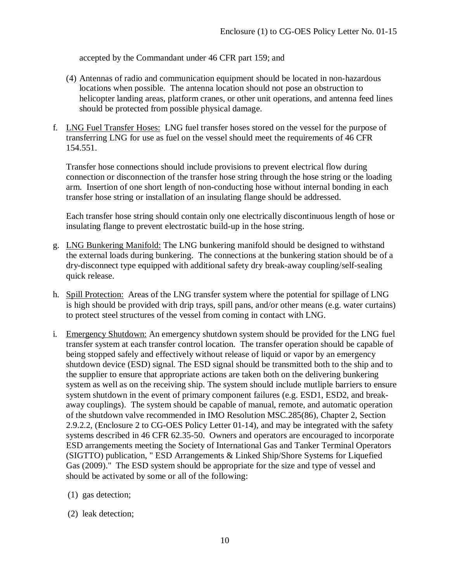accepted by the Commandant under 46 CFR part 159; and

- (4) Antennas of radio and communication equipment should be located in non-hazardous locations when possible. The antenna location should not pose an obstruction to helicopter landing areas, platform cranes, or other unit operations, and antenna feed lines should be protected from possible physical damage.
- f. LNG Fuel Transfer Hoses: LNG fuel transfer hoses stored on the vessel for the purpose of transferring LNG for use as fuel on the vessel should meet the requirements of 46 CFR 154.551.

Transfer hose connections should include provisions to prevent electrical flow during connection or disconnection of the transfer hose string through the hose string or the loading arm. Insertion of one short length of non-conducting hose without internal bonding in each transfer hose string or installation of an insulating flange should be addressed.

Each transfer hose string should contain only one electrically discontinuous length of hose or insulating flange to prevent electrostatic build-up in the hose string.

- g. LNG Bunkering Manifold: The LNG bunkering manifold should be designed to withstand the external loads during bunkering. The connections at the bunkering station should be of a dry-disconnect type equipped with additional safety dry break-away coupling/self-sealing quick release.
- h. Spill Protection: Areas of the LNG transfer system where the potential for spillage of LNG is high should be provided with drip trays, spill pans, and/or other means (e.g. water curtains) to protect steel structures of the vessel from coming in contact with LNG.
- i. Emergency Shutdown: An emergency shutdown system should be provided for the LNG fuel transfer system at each transfer control location. The transfer operation should be capable of being stopped safely and effectively without release of liquid or vapor by an emergency shutdown device (ESD) signal. The ESD signal should be transmitted both to the ship and to the supplier to ensure that appropriate actions are taken both on the delivering bunkering system as well as on the receiving ship. The system should include mutliple barriers to ensure system shutdown in the event of primary component failures (e.g. ESD1, ESD2, and breakaway couplings). The system should be capable of manual, remote, and automatic operation of the shutdown valve recommended in IMO Resolution MSC.285(86), Chapter 2, Section 2.9.2.2, (Enclosure 2 to CG-OES Policy Letter 01-14), and may be integrated with the safety systems described in 46 CFR 62.35-50. Owners and operators are encouraged to incorporate ESD arrangements meeting the Society of International Gas and Tanker Terminal Operators (SIGTTO) publication, " ESD Arrangements & Linked Ship/Shore Systems for Liquefied Gas (2009)." The ESD system should be appropriate for the size and type of vessel and should be activated by some or all of the following:
	- (1) gas detection;
	- (2) leak detection;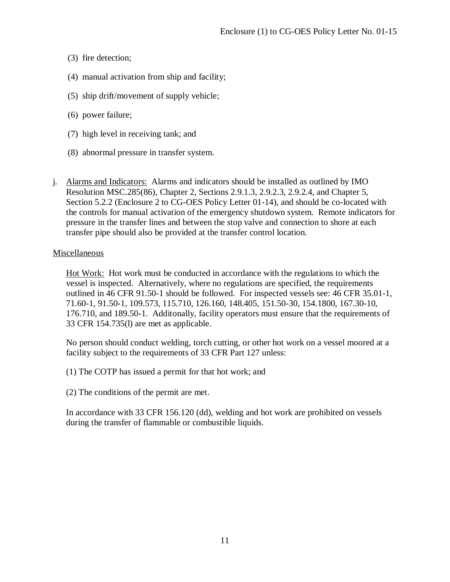- (3) fire detection;
- (4) manual activation from ship and facility;
- (5) ship drift/movement of supply vehicle;
- (6) power failure;
- (7) high level in receiving tank; and
- (8) abnormal pressure in transfer system.
- j. Alarms and Indicators: Alarms and indicators should be installed as outlined by IMO Resolution MSC.285(86), Chapter 2, Sections 2.9.1.3, 2.9.2.3, 2.9.2.4, and Chapter 5, Section 5.2.2 (Enclosure 2 to CG-OES Policy Letter 01-14), and should be co-located with the controls for manual activation of the emergency shutdown system. Remote indicators for pressure in the transfer lines and between the stop valve and connection to shore at each transfer pipe should also be provided at the transfer control location.

### Miscellaneous

Hot Work: Hot work must be conducted in accordance with the regulations to which the vessel is inspected. Alternatively, where no regulations are specified, the requirements outlined in 46 CFR 91.50-1 should be followed. For inspected vessels see: 46 CFR 35.01-1, 71.60-1, 91.50-1, 109.573, 115.710, 126.160, 148.405, 151.50-30, 154.1800, 167.30-10, 176.710, and 189.50-1. Additonally, facility operators must ensure that the requirements of 33 CFR 154.735(l) are met as applicable.

No person should conduct welding, torch cutting, or other hot work on a vessel moored at a facility subject to the requirements of 33 CFR Part 127 unless:

- (1) The COTP has issued a permit for that hot work; and
- (2) The conditions of the permit are met.

In accordance with 33 CFR 156.120 (dd), welding and hot work are prohibited on vessels during the transfer of flammable or combustible liquids.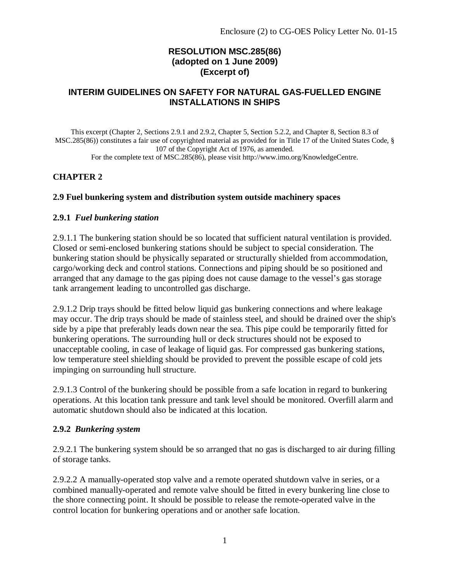## **RESOLUTION MSC.285(86) (adopted on 1 June 2009) (Excerpt of)**

### **INTERIM GUIDELINES ON SAFETY FOR NATURAL GAS-FUELLED ENGINE INSTALLATIONS IN SHIPS**

This excerpt (Chapter 2, Sections 2.9.1 and 2.9.2, Chapter 5, Section 5.2.2, and Chapter 8, Section 8.3 of MSC.285(86)) constitutes a fair use of copyrighted material as provided for in Title 17 of the United States Code, § 107 of the Copyright Act of 1976, as amended. For the complete text of MSC.285(86), please visit http://www.imo.org/KnowledgeCentre.

### **CHAPTER 2**

#### **2.9 Fuel bunkering system and distribution system outside machinery spaces**

#### **2.9.1** *Fuel bunkering station*

2.9.1.1 The bunkering station should be so located that sufficient natural ventilation is provided. Closed or semi-enclosed bunkering stations should be subject to special consideration. The bunkering station should be physically separated or structurally shielded from accommodation, cargo/working deck and control stations. Connections and piping should be so positioned and arranged that any damage to the gas piping does not cause damage to the vessel's gas storage tank arrangement leading to uncontrolled gas discharge.

2.9.1.2 Drip trays should be fitted below liquid gas bunkering connections and where leakage may occur. The drip trays should be made of stainless steel, and should be drained over the ship's side by a pipe that preferably leads down near the sea. This pipe could be temporarily fitted for bunkering operations. The surrounding hull or deck structures should not be exposed to unacceptable cooling, in case of leakage of liquid gas. For compressed gas bunkering stations, low temperature steel shielding should be provided to prevent the possible escape of cold jets impinging on surrounding hull structure.

2.9.1.3 Control of the bunkering should be possible from a safe location in regard to bunkering operations. At this location tank pressure and tank level should be monitored. Overfill alarm and automatic shutdown should also be indicated at this location.

#### **2.9.2** *Bunkering system*

2.9.2.1 The bunkering system should be so arranged that no gas is discharged to air during filling of storage tanks.

2.9.2.2 A manually-operated stop valve and a remote operated shutdown valve in series, or a combined manually-operated and remote valve should be fitted in every bunkering line close to the shore connecting point. It should be possible to release the remote-operated valve in the control location for bunkering operations and or another safe location.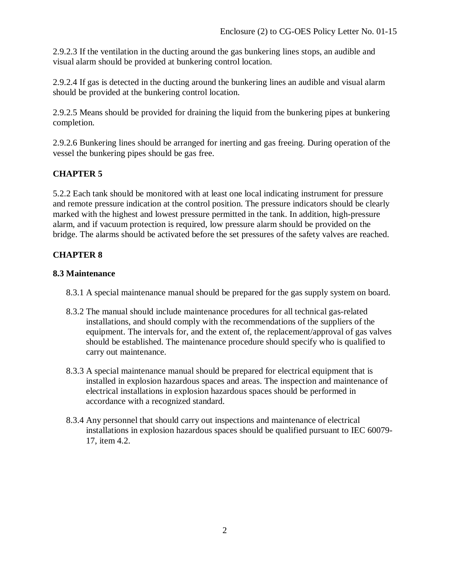2.9.2.3 If the ventilation in the ducting around the gas bunkering lines stops, an audible and visual alarm should be provided at bunkering control location.

2.9.2.4 If gas is detected in the ducting around the bunkering lines an audible and visual alarm should be provided at the bunkering control location.

2.9.2.5 Means should be provided for draining the liquid from the bunkering pipes at bunkering completion.

2.9.2.6 Bunkering lines should be arranged for inerting and gas freeing. During operation of the vessel the bunkering pipes should be gas free.

## **CHAPTER 5**

5.2.2 Each tank should be monitored with at least one local indicating instrument for pressure and remote pressure indication at the control position. The pressure indicators should be clearly marked with the highest and lowest pressure permitted in the tank. In addition, high-pressure alarm, and if vacuum protection is required, low pressure alarm should be provided on the bridge. The alarms should be activated before the set pressures of the safety valves are reached.

## **CHAPTER 8**

### **8.3 Maintenance**

- 8.3.1 A special maintenance manual should be prepared for the gas supply system on board.
- 8.3.2 The manual should include maintenance procedures for all technical gas-related installations, and should comply with the recommendations of the suppliers of the equipment. The intervals for, and the extent of, the replacement/approval of gas valves should be established. The maintenance procedure should specify who is qualified to carry out maintenance.
- 8.3.3 A special maintenance manual should be prepared for electrical equipment that is installed in explosion hazardous spaces and areas. The inspection and maintenance of electrical installations in explosion hazardous spaces should be performed in accordance with a recognized standard.
- 8.3.4 Any personnel that should carry out inspections and maintenance of electrical installations in explosion hazardous spaces should be qualified pursuant to IEC 60079- 17, item 4.2.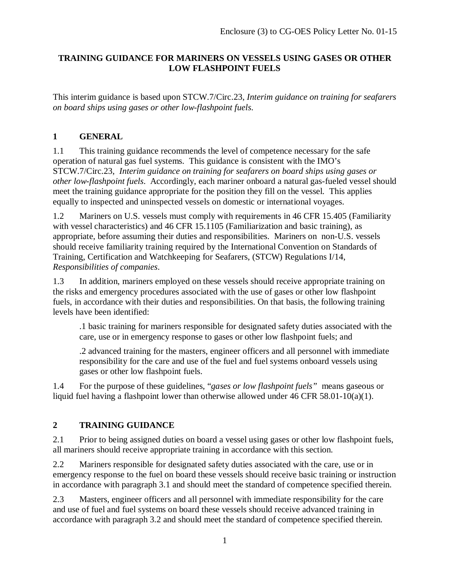## **TRAINING GUIDANCE FOR MARINERS ON VESSELS USING GASES OR OTHER LOW FLASHPOINT FUELS**

This interim guidance is based upon STCW.7/Circ.23, *Interim guidance on training for seafarers on board ships using gases or other low-flashpoint fuels*.

## **1 GENERAL**

1.1 This training guidance recommends the level of competence necessary for the safe operation of natural gas fuel systems. This guidance is consistent with the IMO's STCW.7/Circ.23, *Interim guidance on training for seafarers on board ships using gases or other low-flashpoint fuels*. Accordingly, each mariner onboard a natural gas-fueled vessel should meet the training guidance appropriate for the position they fill on the vessel. This applies equally to inspected and uninspected vessels on domestic or international voyages.

1.2 Mariners on U.S. vessels must comply with requirements in 46 CFR 15.405 (Familiarity with vessel characteristics) and 46 CFR 15.1105 (Familiarization and basic training), as appropriate, before assuming their duties and responsibilities. Mariners on non-U.S. vessels should receive familiarity training required by the International Convention on Standards of Training, Certification and Watchkeeping for Seafarers, (STCW) Regulations I/14, *Responsibilities of companies*.

1.3 In addition, mariners employed on these vessels should receive appropriate training on the risks and emergency procedures associated with the use of gases or other low flashpoint fuels, in accordance with their duties and responsibilities. On that basis, the following training levels have been identified:

.1 basic training for mariners responsible for designated safety duties associated with the care, use or in emergency response to gases or other low flashpoint fuels; and

.2 advanced training for the masters, engineer officers and all personnel with immediate responsibility for the care and use of the fuel and fuel systems onboard vessels using gases or other low flashpoint fuels.

1.4 For the purpose of these guidelines, "*gases or low flashpoint fuels"* means gaseous or liquid fuel having a flashpoint lower than otherwise allowed under 46 CFR 58.01-10(a)(1).

# **2 TRAINING GUIDANCE**

2.1 Prior to being assigned duties on board a vessel using gases or other low flashpoint fuels, all mariners should receive appropriate training in accordance with this section.

2.2 Mariners responsible for designated safety duties associated with the care, use or in emergency response to the fuel on board these vessels should receive basic training or instruction in accordance with paragraph 3.1 and should meet the standard of competence specified therein.

2.3 Masters, engineer officers and all personnel with immediate responsibility for the care and use of fuel and fuel systems on board these vessels should receive advanced training in accordance with paragraph 3.2 and should meet the standard of competence specified therein.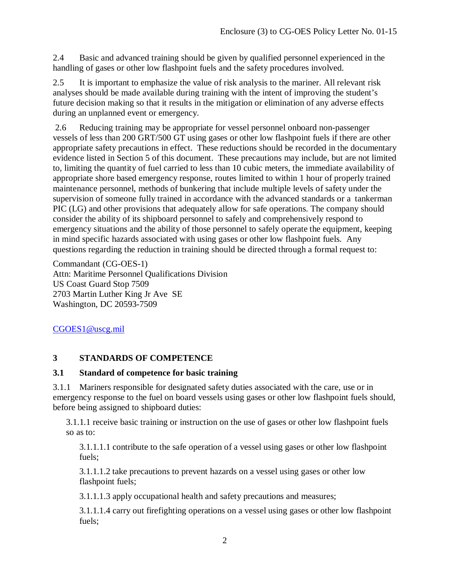2.4 Basic and advanced training should be given by qualified personnel experienced in the handling of gases or other low flashpoint fuels and the safety procedures involved.

2.5 It is important to emphasize the value of risk analysis to the mariner. All relevant risk analyses should be made available during training with the intent of improving the student's future decision making so that it results in the mitigation or elimination of any adverse effects during an unplanned event or emergency.

2.6 Reducing training may be appropriate for vessel personnel onboard non-passenger vessels of less than 200 GRT/500 GT using gases or other low flashpoint fuels if there are other appropriate safety precautions in effect. These reductions should be recorded in the documentary evidence listed in Section 5 of this document. These precautions may include, but are not limited to, limiting the quantity of fuel carried to less than 10 cubic meters, the immediate availability of appropriate shore based emergency response, routes limited to within 1 hour of properly trained maintenance personnel, methods of bunkering that include multiple levels of safety under the supervision of someone fully trained in accordance with the advanced standards or a tankerman PIC (LG) and other provisions that adequately allow for safe operations. The company should consider the ability of its shipboard personnel to safely and comprehensively respond to emergency situations and the ability of those personnel to safely operate the equipment, keeping in mind specific hazards associated with using gases or other low flashpoint fuels. Any questions regarding the reduction in training should be directed through a formal request to:

Commandant (CG-OES-1) Attn: Maritime Personnel Qualifications Division US Coast Guard Stop 7509 2703 Martin Luther King Jr Ave SE Washington, DC 20593-7509

## CGOES1@uscg.mil

# **3 STANDARDS OF COMPETENCE**

### **3.1 Standard of competence for basic training**

3.1.1 Mariners responsible for designated safety duties associated with the care, use or in emergency response to the fuel on board vessels using gases or other low flashpoint fuels should, before being assigned to shipboard duties:

3.1.1.1 receive basic training or instruction on the use of gases or other low flashpoint fuels so as to:

3.1.1.1.1 contribute to the safe operation of a vessel using gases or other low flashpoint fuels;

3.1.1.1.2 take precautions to prevent hazards on a vessel using gases or other low flashpoint fuels;

3.1.1.1.3 apply occupational health and safety precautions and measures;

3.1.1.1.4 carry out firefighting operations on a vessel using gases or other low flashpoint fuels;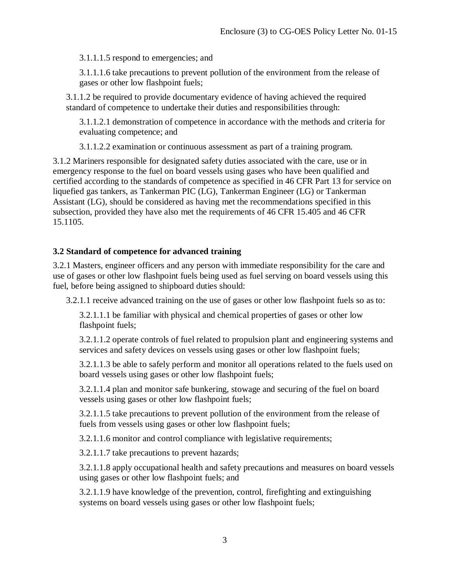3.1.1.1.5 respond to emergencies; and

3.1.1.1.6 take precautions to prevent pollution of the environment from the release of gases or other low flashpoint fuels;

3.1.1.2 be required to provide documentary evidence of having achieved the required standard of competence to undertake their duties and responsibilities through:

3.1.1.2.1 demonstration of competence in accordance with the methods and criteria for evaluating competence; and

3.1.1.2.2 examination or continuous assessment as part of a training program.

3.1.2 Mariners responsible for designated safety duties associated with the care, use or in emergency response to the fuel on board vessels using gases who have been qualified and certified according to the standards of competence as specified in 46 CFR Part 13 for service on liquefied gas tankers, as Tankerman PIC (LG), Tankerman Engineer (LG) or Tankerman Assistant (LG), should be considered as having met the recommendations specified in this subsection, provided they have also met the requirements of 46 CFR 15.405 and 46 CFR 15.1105.

### **3.2 Standard of competence for advanced training**

3.2.1 Masters, engineer officers and any person with immediate responsibility for the care and use of gases or other low flashpoint fuels being used as fuel serving on board vessels using this fuel, before being assigned to shipboard duties should:

3.2.1.1 receive advanced training on the use of gases or other low flashpoint fuels so as to:

3.2.1.1.1 be familiar with physical and chemical properties of gases or other low flashpoint fuels;

3.2.1.1.2 operate controls of fuel related to propulsion plant and engineering systems and services and safety devices on vessels using gases or other low flashpoint fuels;

3.2.1.1.3 be able to safely perform and monitor all operations related to the fuels used on board vessels using gases or other low flashpoint fuels;

3.2.1.1.4 plan and monitor safe bunkering, stowage and securing of the fuel on board vessels using gases or other low flashpoint fuels;

3.2.1.1.5 take precautions to prevent pollution of the environment from the release of fuels from vessels using gases or other low flashpoint fuels;

3.2.1.1.6 monitor and control compliance with legislative requirements;

3.2.1.1.7 take precautions to prevent hazards;

3.2.1.1.8 apply occupational health and safety precautions and measures on board vessels using gases or other low flashpoint fuels; and

3.2.1.1.9 have knowledge of the prevention, control, firefighting and extinguishing systems on board vessels using gases or other low flashpoint fuels;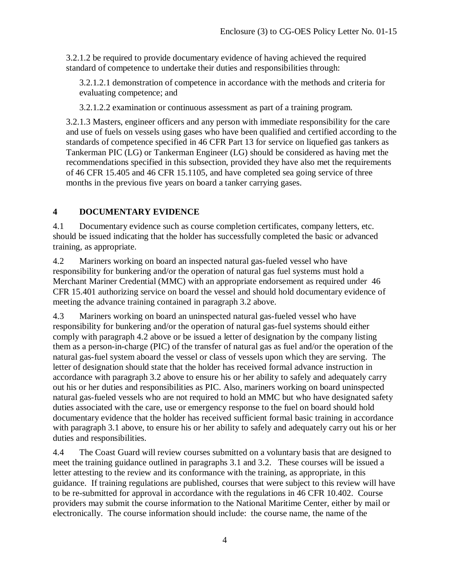3.2.1.2 be required to provide documentary evidence of having achieved the required standard of competence to undertake their duties and responsibilities through:

3.2.1.2.1 demonstration of competence in accordance with the methods and criteria for evaluating competence; and

3.2.1.2.2 examination or continuous assessment as part of a training program.

3.2.1.3 Masters, engineer officers and any person with immediate responsibility for the care and use of fuels on vessels using gases who have been qualified and certified according to the standards of competence specified in 46 CFR Part 13 for service on liquefied gas tankers as Tankerman PIC (LG) or Tankerman Engineer (LG) should be considered as having met the recommendations specified in this subsection, provided they have also met the requirements of 46 CFR 15.405 and 46 CFR 15.1105, and have completed sea going service of three months in the previous five years on board a tanker carrying gases.

# **4 DOCUMENTARY EVIDENCE**

4.1 Documentary evidence such as course completion certificates, company letters, etc. should be issued indicating that the holder has successfully completed the basic or advanced training, as appropriate.

4.2 Mariners working on board an inspected natural gas-fueled vessel who have responsibility for bunkering and/or the operation of natural gas fuel systems must hold a Merchant Mariner Credential (MMC) with an appropriate endorsement as required under 46 CFR 15.401 authorizing service on board the vessel and should hold documentary evidence of meeting the advance training contained in paragraph 3.2 above.

4.3 Mariners working on board an uninspected natural gas-fueled vessel who have responsibility for bunkering and/or the operation of natural gas-fuel systems should either comply with paragraph 4.2 above or be issued a letter of designation by the company listing them as a person-in-charge (PIC) of the transfer of natural gas as fuel and/or the operation of the natural gas-fuel system aboard the vessel or class of vessels upon which they are serving. The letter of designation should state that the holder has received formal advance instruction in accordance with paragraph 3.2 above to ensure his or her ability to safely and adequately carry out his or her duties and responsibilities as PIC. Also, mariners working on board uninspected natural gas-fueled vessels who are not required to hold an MMC but who have designated safety duties associated with the care, use or emergency response to the fuel on board should hold documentary evidence that the holder has received sufficient formal basic training in accordance with paragraph 3.1 above, to ensure his or her ability to safely and adequately carry out his or her duties and responsibilities.

4.4 The Coast Guard will review courses submitted on a voluntary basis that are designed to meet the training guidance outlined in paragraphs 3.1 and 3.2. These courses will be issued a letter attesting to the review and its conformance with the training, as appropriate, in this guidance. If training regulations are published, courses that were subject to this review will have to be re-submitted for approval in accordance with the regulations in 46 CFR 10.402. Course providers may submit the course information to the National Maritime Center, either by mail or electronically. The course information should include: the course name, the name of the